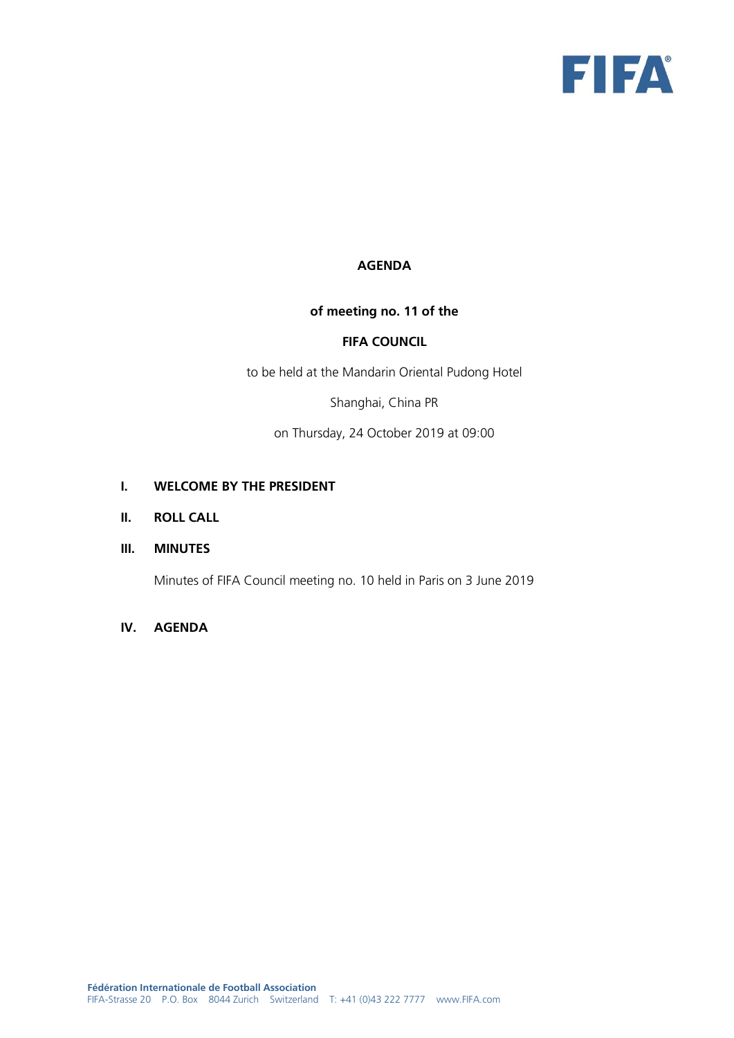

# **AGENDA**

# **of meeting no. 11 of the**

#### **FIFA COUNCIL**

to be held at the Mandarin Oriental Pudong Hotel

Shanghai, China PR

on Thursday, 24 October 2019 at 09:00

#### **I. WELCOME BY THE PRESIDENT**

#### **II. ROLL CALL**

# **III. MINUTES**

Minutes of FIFA Council meeting no. 10 held in Paris on 3 June 2019

## **IV. AGENDA**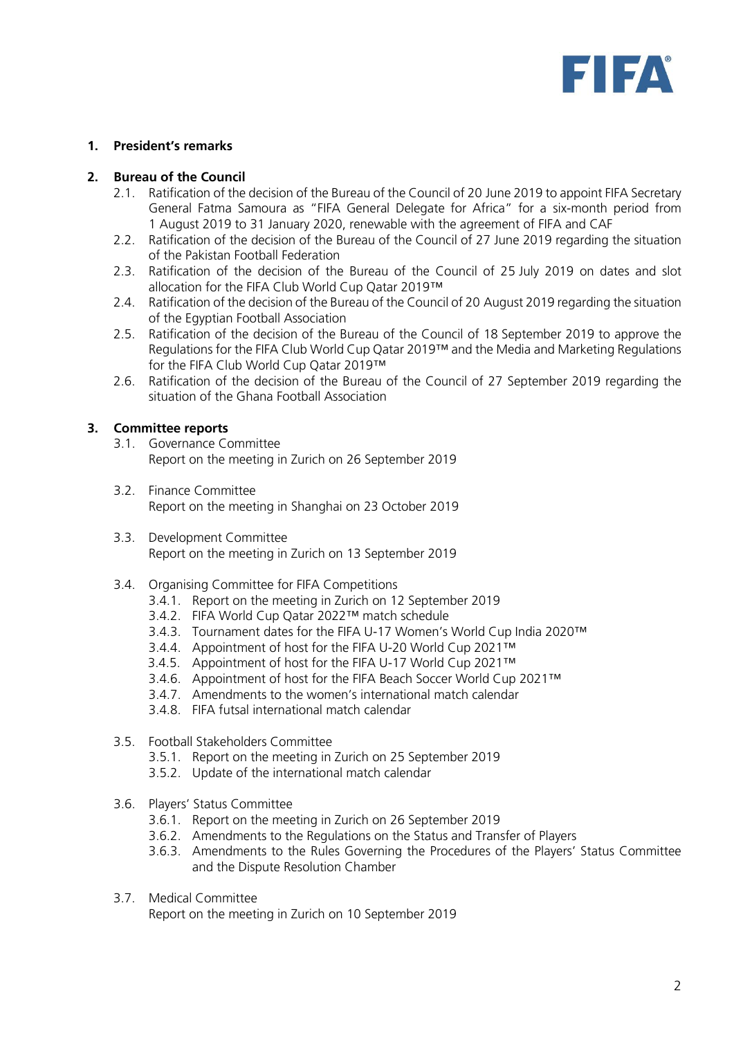

### **1. President's remarks**

#### **2. Bureau of the Council**

- 2.1. Ratification of the decision of the Bureau of the Council of 20 June 2019 to appoint FIFA Secretary General Fatma Samoura as "FIFA General Delegate for Africa" for a six-month period from 1 August 2019 to 31 January 2020, renewable with the agreement of FIFA and CAF
- 2.2. Ratification of the decision of the Bureau of the Council of 27 June 2019 regarding the situation of the Pakistan Football Federation
- 2.3. Ratification of the decision of the Bureau of the Council of 25 July 2019 on dates and slot allocation for the FIFA Club World Cup Qatar 2019™
- 2.4. Ratification of the decision of the Bureau of the Council of 20 August 2019 regarding the situation of the Egyptian Football Association
- 2.5. Ratification of the decision of the Bureau of the Council of 18 September 2019 to approve the Regulations for the FIFA Club World Cup Qatar 2019™ and the Media and Marketing Regulations for the FIFA Club World Cup Qatar 2019™
- 2.6. Ratification of the decision of the Bureau of the Council of 27 September 2019 regarding the situation of the Ghana Football Association

### **3. Committee reports**

- 3.1. Governance Committee Report on the meeting in Zurich on 26 September 2019
- 3.2. Finance Committee Report on the meeting in Shanghai on 23 October 2019
- 3.3. Development Committee Report on the meeting in Zurich on 13 September 2019
- 3.4. Organising Committee for FIFA Competitions
	- 3.4.1. Report on the meeting in Zurich on 12 September 2019
	- 3.4.2. FIFA World Cup Qatar 2022™ match schedule
	- 3.4.3. Tournament dates for the FIFA U-17 Women's World Cup India 2020™
	- 3.4.4. Appointment of host for the FIFA U-20 World Cup 2021™
	- 3.4.5. Appointment of host for the FIFA U-17 World Cup 2021™
	- 3.4.6. Appointment of host for the FIFA Beach Soccer World Cup 2021™
	- 3.4.7. Amendments to the women's international match calendar
	- 3.4.8. FIFA futsal international match calendar
- 3.5. Football Stakeholders Committee
	- 3.5.1. Report on the meeting in Zurich on 25 September 2019
	- 3.5.2. Update of the international match calendar
- 3.6. Players' Status Committee
	- 3.6.1. Report on the meeting in Zurich on 26 September 2019
	- 3.6.2. Amendments to the Regulations on the Status and Transfer of Players
	- 3.6.3. Amendments to the Rules Governing the Procedures of the Players' Status Committee and the Dispute Resolution Chamber
- 3.7. Medical Committee

Report on the meeting in Zurich on 10 September 2019